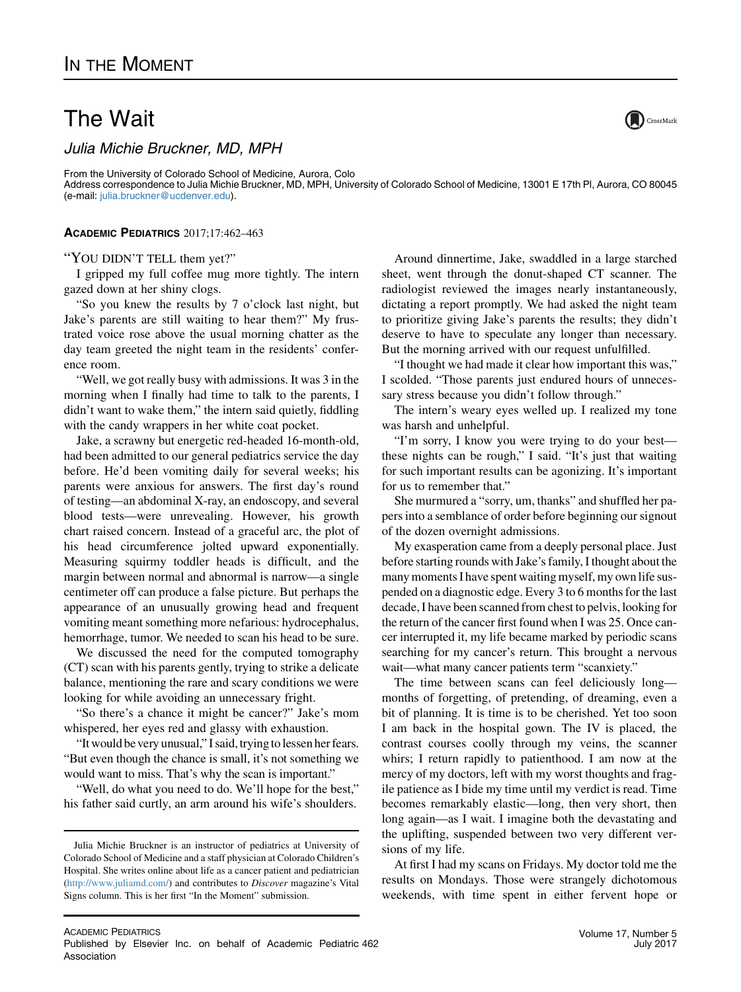## The Wait

Julia Michie Bruckner, MD, MPH

From the University of Colorado School of Medicine, Aurora, Colo

Address correspondence to Julia Michie Bruckner, MD, MPH, University of Colorado School of Medicine, 13001 E 17th Pl, Aurora, CO 80045 (e-mail: [julia.bruckner@ucdenver.edu](mailto:julia.bruckner@ucdenver.edu)).

## ACADEMIC PEDIATRICS 2017;17:462–463

## "YOU DIDN'T TELL them yet?"

I gripped my full coffee mug more tightly. The intern gazed down at her shiny clogs.

"So you knew the results by 7 o'clock last night, but Jake's parents are still waiting to hear them?" My frustrated voice rose above the usual morning chatter as the day team greeted the night team in the residents' conference room.

"Well, we got really busy with admissions. It was 3 in the morning when I finally had time to talk to the parents, I didn't want to wake them," the intern said quietly, fiddling with the candy wrappers in her white coat pocket.

Jake, a scrawny but energetic red-headed 16-month-old, had been admitted to our general pediatrics service the day before. He'd been vomiting daily for several weeks; his parents were anxious for answers. The first day's round of testing—an abdominal X-ray, an endoscopy, and several blood tests—were unrevealing. However, his growth chart raised concern. Instead of a graceful arc, the plot of his head circumference jolted upward exponentially. Measuring squirmy toddler heads is difficult, and the margin between normal and abnormal is narrow—a single centimeter off can produce a false picture. But perhaps the appearance of an unusually growing head and frequent vomiting meant something more nefarious: hydrocephalus, hemorrhage, tumor. We needed to scan his head to be sure.

We discussed the need for the computed tomography (CT) scan with his parents gently, trying to strike a delicate balance, mentioning the rare and scary conditions we were looking for while avoiding an unnecessary fright.

"So there's a chance it might be cancer?" Jake's mom whispered, her eyes red and glassy with exhaustion.

"It would be very unusual," I said, trying to lessen her fears. "But even though the chance is small, it's not something we would want to miss. That's why the scan is important."

"Well, do what you need to do. We'll hope for the best," his father said curtly, an arm around his wife's shoulders.

Around dinnertime, Jake, swaddled in a large starched sheet, went through the donut-shaped CT scanner. The radiologist reviewed the images nearly instantaneously, dictating a report promptly. We had asked the night team to prioritize giving Jake's parents the results; they didn't deserve to have to speculate any longer than necessary. But the morning arrived with our request unfulfilled.

"I thought we had made it clear how important this was," I scolded. "Those parents just endured hours of unnecessary stress because you didn't follow through."

The intern's weary eyes welled up. I realized my tone was harsh and unhelpful.

"I'm sorry, I know you were trying to do your best these nights can be rough," I said. "It's just that waiting for such important results can be agonizing. It's important for us to remember that."

She murmured a "sorry, um, thanks" and shuffled her papers into a semblance of order before beginning our signout of the dozen overnight admissions.

My exasperation came from a deeply personal place. Just before starting rounds with Jake's family, I thought about the many moments I have spent waiting myself, my own life suspended on a diagnostic edge. Every 3 to 6 months for the last decade, I have been scanned from chest to pelvis, looking for the return of the cancer first found when I was 25. Once cancer interrupted it, my life became marked by periodic scans searching for my cancer's return. This brought a nervous wait—what many cancer patients term "scanxiety."

The time between scans can feel deliciously long months of forgetting, of pretending, of dreaming, even a bit of planning. It is time is to be cherished. Yet too soon I am back in the hospital gown. The IV is placed, the contrast courses coolly through my veins, the scanner whirs; I return rapidly to patienthood. I am now at the mercy of my doctors, left with my worst thoughts and fragile patience as I bide my time until my verdict is read. Time becomes remarkably elastic—long, then very short, then long again—as I wait. I imagine both the devastating and the uplifting, suspended between two very different versions of my life.

At first I had my scans on Fridays. My doctor told me the results on Mondays. Those were strangely dichotomous weekends, with time spent in either fervent hope or



Julia Michie Bruckner is an instructor of pediatrics at University of Colorado School of Medicine and a staff physician at Colorado Children's Hospital. She writes online about life as a cancer patient and pediatrician [\(http://www.juliamd.com/](http://www.juliamd.com/)) and contributes to *Discover* magazine's Vital Signs column. This is her first "In the Moment" submission.